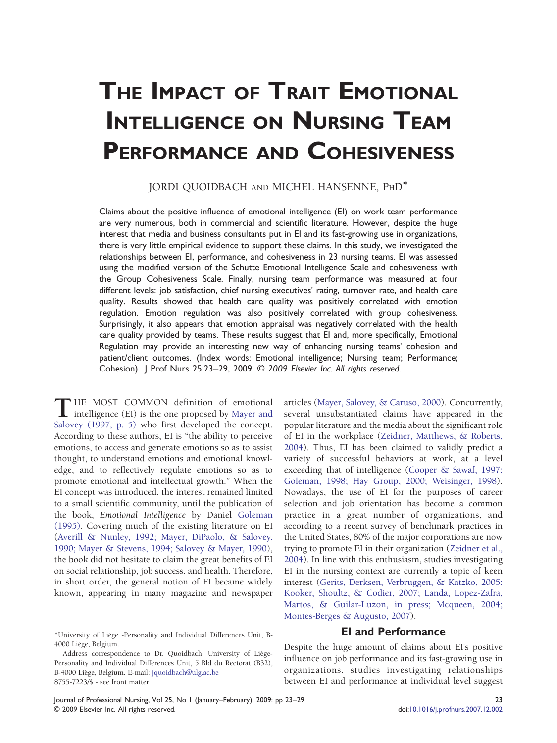# THE IMPACT OF TRAIT EMOTIONAL INTELLIGENCE ON NURSING TEAM PERFORMANCE AND COHESIVENESS

## JORDI QUOIDBACH AND MICHEL HANSENNE, PHD<sup>\*</sup>

Claims about the positive influence of emotional intelligence (EI) on work team performance are very numerous, both in commercial and scientific literature. However, despite the huge interest that media and business consultants put in EI and its fast-growing use in organizations, there is very little empirical evidence to support these claims. In this study, we investigated the relationships between EI, performance, and cohesiveness in 23 nursing teams. EI was assessed using the modified version of the Schutte Emotional Intelligence Scale and cohesiveness with the Group Cohesiveness Scale. Finally, nursing team performance was measured at four different levels: job satisfaction, chief nursing executives' rating, turnover rate, and health care quality. Results showed that health care quality was positively correlated with emotion regulation. Emotion regulation was also positively correlated with group cohesiveness. Surprisingly, it also appears that emotion appraisal was negatively correlated with the health care quality provided by teams. These results suggest that EI and, more specifically, Emotional Regulation may provide an interesting new way of enhancing nursing teams' cohesion and patient/client outcomes. (Index words: Emotional intelligence; Nursing team; Performance; Cohesion) | Prof Nurs 25:23-29, 2009. © 2009 Elsevier Inc. All rights reserved.

**T** HE MOST COMMON definition of emotional intelligence (EI) is the one proposed by [Mayer and](#page-6-0) [Salovey \(1997, p. 5\)](#page-6-0) who first developed the concept. According to these authors, EI is "the ability to perceive emotions, to access and generate emotions so as to assist thought, to understand emotions and emotional knowledge, and to reflectively regulate emotions so as to promote emotional and intellectual growth." When the EI concept was introduced, the interest remained limited to a small scientific community, until the publication of the book, Emotional Intelligence by Daniel [Goleman](#page-5-0) [\(1995\).](#page-5-0) Covering much of the existing literature on EI ([Averill & Nunley, 1992; Mayer, DiPaolo, & Salovey,](#page-5-0) [1990; Mayer & Stevens, 1994; Salovey & Mayer, 1990\)](#page-5-0), the book did not hesitate to claim the great benefits of EI on social relationship, job success, and health. Therefore, in short order, the general notion of EI became widely known, appearing in many magazine and newspaper

articles [\(Mayer, Salovey, & Caruso, 2000](#page-6-0)). Concurrently, several unsubstantiated claims have appeared in the popular literature and the media about the significant role of EI in the workplace [\(Zeidner, Matthews, & Roberts,](#page-6-0) [2004](#page-6-0)). Thus, EI has been claimed to validly predict a variety of successful behaviors at work, at a level exceeding that of intelligence ([Cooper & Sawaf, 1997;](#page-5-0) [Goleman, 1998; Hay Group, 2000; Weisinger, 1998\)](#page-5-0). Nowadays, the use of EI for the purposes of career selection and job orientation has become a common practice in a great number of organizations, and according to a recent survey of benchmark practices in the United States, 80% of the major corporations are now trying to promote EI in their organization ([Zeidner et al.,](#page-6-0) [2004](#page-6-0)). In line with this enthusiasm, studies investigating EI in the nursing context are currently a topic of keen interest [\(Gerits, Derksen, Verbruggen, & Katzko, 2005;](#page-5-0) [Kooker, Shoultz, & Codier, 2007; Landa, Lopez-Zafra,](#page-5-0) [Martos, & Guilar-Luzon, in press; Mcqueen, 2004;](#page-5-0) [Montes-Berges & Augusto, 2007\)](#page-5-0).

## EI and Performance

Despite the huge amount of claims about EI's positive influence on job performance and its fast-growing use in organizations, studies investigating relationships between EI and performance at individual level suggest

<sup>∗</sup>University of Liège -Personality and Individual Differences Unit, B-4000 Liège, Belgium.

Address correspondence to Dr. Quoidbach: University of Liège-Personality and Individual Differences Unit, 5 Bld du Rectorat (B32), B-4000 Liège, Belgium. E-mail: [jquoidbach@ulg.ac.be](mailto:jquoidbach@ulg.ac.be) 8755-7223/\$ - see front matter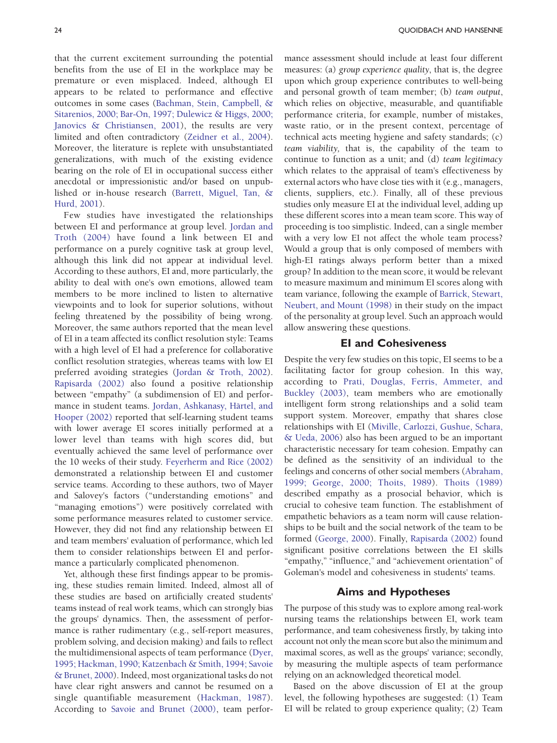that the current excitement surrounding the potential benefits from the use of EI in the workplace may be premature or even misplaced. Indeed, although EI appears to be related to performance and effective outcomes in some cases ([Bachman, Stein, Campbell, &](#page-5-0) [Sitarenios, 2000; Bar-On, 1997; Dulewicz & Higgs, 2000;](#page-5-0) [Janovics & Christiansen, 2001](#page-5-0)), the results are very limited and often contradictory ([Zeidner et al., 2004\)](#page-6-0). Moreover, the literature is replete with unsubstantiated generalizations, with much of the existing evidence bearing on the role of EI in occupational success either anecdotal or impressionistic and/or based on unpublished or in-house research [\(Barrett, Miguel, Tan, &](#page-5-0) [Hurd, 2001\)](#page-5-0).

Few studies have investigated the relationships between EI and performance at group level. [Jordan and](#page-5-0) [Troth \(2004\)](#page-5-0) have found a link between EI and performance on a purely cognitive task at group level, although this link did not appear at individual level. According to these authors, EI and, more particularly, the ability to deal with one's own emotions, allowed team members to be more inclined to listen to alternative viewpoints and to look for superior solutions, without feeling threatened by the possibility of being wrong. Moreover, the same authors reported that the mean level of EI in a team affected its conflict resolution style: Teams with a high level of EI had a preference for collaborative conflict resolution strategies, whereas teams with low EI preferred avoiding strategies ([Jordan & Troth, 2002\)](#page-5-0). [Rapisarda \(2002\)](#page-6-0) also found a positive relationship between "empathy" (a subdimension of EI) and performance in student teams. [Jordan, Ashkanasy, Härtel, and](#page-5-0) [Hooper \(2002\)](#page-5-0) reported that self-learning student teams with lower average EI scores initially performed at a lower level than teams with high scores did, but eventually achieved the same level of performance over the 10 weeks of their study. [Feyerherm and Rice \(2002\)](#page-5-0) demonstrated a relationship between EI and customer service teams. According to these authors, two of Mayer and Salovey's factors ("understanding emotions" and "managing emotions") were positively correlated with some performance measures related to customer service. However, they did not find any relationship between EI and team members' evaluation of performance, which led them to consider relationships between EI and performance a particularly complicated phenomenon.

Yet, although these first findings appear to be promising, these studies remain limited. Indeed, almost all of these studies are based on artificially created students' teams instead of real work teams, which can strongly bias the groups' dynamics. Then, the assessment of performance is rather rudimentary (e.g., self-report measures, problem solving, and decision making) and fails to reflect the multidimensional aspects of team performance [\(Dyer,](#page-5-0) [1995; Hackman, 1990; Katzenbach & Smith, 1994; Savoie](#page-5-0) [& Brunet, 2000\)](#page-5-0). Indeed, most organizational tasks do not have clear right answers and cannot be resumed on a single quantifiable measurement ([Hackman, 1987\)](#page-5-0). According to [Savoie and Brunet \(2000\),](#page-6-0) team performance assessment should include at least four different measures: (a) group experience quality, that is, the degree upon which group experience contributes to well-being and personal growth of team member; (b) team output, which relies on objective, measurable, and quantifiable performance criteria, for example, number of mistakes, waste ratio, or in the present context, percentage of technical acts meeting hygiene and safety standards; (c) team viability, that is, the capability of the team to continue to function as a unit; and (d) team legitimacy which relates to the appraisal of team's effectiveness by external actors who have close ties with it (e.g., managers, clients, suppliers, etc.). Finally, all of these previous studies only measure EI at the individual level, adding up these different scores into a mean team score. This way of proceeding is too simplistic. Indeed, can a single member with a very low EI not affect the whole team process? Would a group that is only composed of members with high-EI ratings always perform better than a mixed group? In addition to the mean score, it would be relevant to measure maximum and minimum EI scores along with team variance, following the example of [Barrick, Stewart,](#page-5-0) [Neubert, and Mount \(1998\)](#page-5-0) in their study on the impact of the personality at group level. Such an approach would allow answering these questions.

## EI and Cohesiveness

Despite the very few studies on this topic, EI seems to be a facilitating factor for group cohesion. In this way, according to [Prati, Douglas, Ferris, Ammeter, and](#page-6-0) [Buckley \(2003\)](#page-6-0), team members who are emotionally intelligent form strong relationships and a solid team support system. Moreover, empathy that shares close relationships with EI [\(Miville, Carlozzi, Gushue, Schara,](#page-6-0) [& Ueda, 2006\)](#page-6-0) also has been argued to be an important characteristic necessary for team cohesion. Empathy can be defined as the sensitivity of an individual to the feelings and concerns of other social members [\(Abraham,](#page-5-0) [1999; George, 2000; Thoits, 1989](#page-5-0)). [Thoits \(1989\)](#page-6-0) described empathy as a prosocial behavior, which is crucial to cohesive team function. The establishment of empathetic behaviors as a team norm will cause relationships to be built and the social network of the team to be formed [\(George, 2000\)](#page-5-0). Finally, [Rapisarda \(2002\)](#page-6-0) found significant positive correlations between the EI skills "empathy," "influence," and "achievement orientation" of Goleman's model and cohesiveness in students' teams.

## Aims and Hypotheses

The purpose of this study was to explore among real-work nursing teams the relationships between EI, work team performance, and team cohesiveness firstly, by taking into account not only the mean score but also the minimum and maximal scores, as well as the groups' variance; secondly, by measuring the multiple aspects of team performance relying on an acknowledged theoretical model.

Based on the above discussion of EI at the group level, the following hypotheses are suggested: (1) Team EI will be related to group experience quality; (2) Team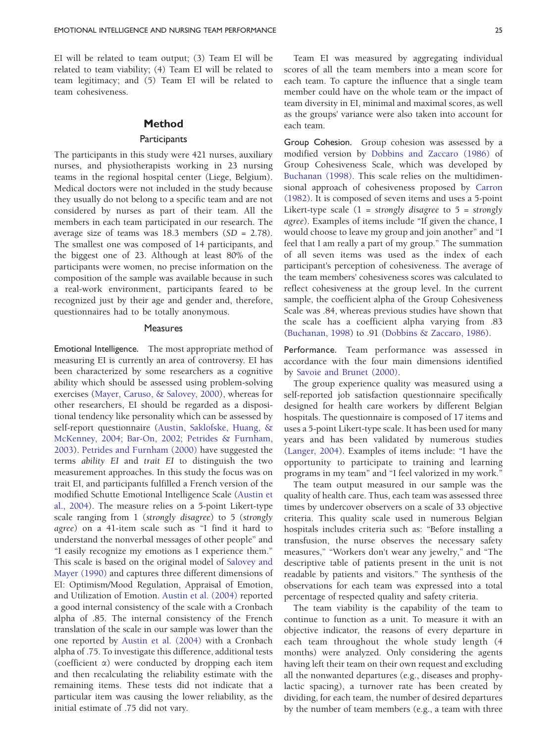EI will be related to team output; (3) Team EI will be related to team viability; (4) Team EI will be related to team legitimacy; and (5) Team EI will be related to team cohesiveness.

## Method

#### **Participants**

The participants in this study were 421 nurses, auxiliary nurses, and physiotherapists working in 23 nursing teams in the regional hospital center (Liege, Belgium). Medical doctors were not included in the study because they usually do not belong to a specific team and are not considered by nurses as part of their team. All the members in each team participated in our research. The average size of teams was 18.3 members (SD = 2.78). The smallest one was composed of 14 participants, and the biggest one of 23. Although at least 80% of the participants were women, no precise information on the composition of the sample was available because in such a real-work environment, participants feared to be recognized just by their age and gender and, therefore, questionnaires had to be totally anonymous.

#### **Measures**

Emotional Intelligence. The most appropriate method of measuring EI is currently an area of controversy. EI has been characterized by some researchers as a cognitive ability which should be assessed using problem-solving exercises [\(Mayer, Caruso, & Salovey, 2000\)](#page-5-0), whereas for other researchers, EI should be regarded as a dispositional tendency like personality which can be assessed by self-report questionnaire [\(Austin, Saklofske, Huang, &](#page-5-0) [McKenney, 2004; Bar-On, 2002; Petrides & Furnham,](#page-5-0) [2003](#page-5-0)). [Petrides and Furnham \(2000\)](#page-6-0) have suggested the terms ability EI and trait EI to distinguish the two measurement approaches. In this study the focus was on trait EI, and participants fulfilled a French version of the modified Schutte Emotional Intelligence Scale [\(Austin et](#page-5-0) [al., 2004](#page-5-0)). The measure relies on a 5-point Likert-type scale ranging from 1 (strongly disagree) to 5 (strongly agree) on a 41-item scale such as "I find it hard to understand the nonverbal messages of other people" and "I easily recognize my emotions as I experience them." This scale is based on the original model of [Salovey and](#page-6-0) [Mayer \(1990\)](#page-6-0) and captures three different dimensions of EI: Optimism/Mood Regulation, Appraisal of Emotion, and Utilization of Emotion. [Austin et al. \(2004\)](#page-5-0) reported a good internal consistency of the scale with a Cronbach alpha of .85. The internal consistency of the French translation of the scale in our sample was lower than the one reported by [Austin et al. \(2004\)](#page-5-0) with a Cronbach alpha of .75. To investigate this difference, additional tests (coefficient  $\alpha$ ) were conducted by dropping each item and then recalculating the reliability estimate with the remaining items. These tests did not indicate that a particular item was causing the lower reliability, as the initial estimate of .75 did not vary.

Team EI was measured by aggregating individual scores of all the team members into a mean score for each team. To capture the influence that a single team member could have on the whole team or the impact of team diversity in EI, minimal and maximal scores, as well as the groups' variance were also taken into account for each team.

Group Cohesion. Group cohesion was assessed by a modified version by [Dobbins and Zaccaro \(1986\)](#page-5-0) of Group Cohesiveness Scale, which was developed by [Buchanan \(1998\)](#page-5-0). This scale relies on the multidimensional approach of cohesiveness proposed by [Carron](#page-5-0) [\(1982\).](#page-5-0) It is composed of seven items and uses a 5-point Likert-type scale  $(1 = strongly disagree to 5 = strongly$ agree). Examples of items include "If given the chance, I would choose to leave my group and join another" and "I feel that I am really a part of my group." The summation of all seven items was used as the index of each participant's perception of cohesiveness. The average of the team members' cohesiveness scores was calculated to reflect cohesiveness at the group level. In the current sample, the coefficient alpha of the Group Cohesiveness Scale was .84, whereas previous studies have shown that the scale has a coefficient alpha varying from .83 ([Buchanan, 1998](#page-5-0)) to .91 ([Dobbins & Zaccaro, 1986](#page-5-0)).

Performance. Team performance was assessed in accordance with the four main dimensions identified by [Savoie and Brunet \(2000\)](#page-6-0).

The group experience quality was measured using a self-reported job satisfaction questionnaire specifically designed for health care workers by different Belgian hospitals. The questionnaire is composed of 17 items and uses a 5-point Likert-type scale. It has been used for many years and has been validated by numerous studies ([Langer, 2004](#page-5-0)). Examples of items include: "I have the opportunity to participate to training and learning programs in my team" and "I feel valorized in my work."

The team output measured in our sample was the quality of health care. Thus, each team was assessed three times by undercover observers on a scale of 33 objective criteria. This quality scale used in numerous Belgian hospitals includes criteria such as: "Before installing a transfusion, the nurse observes the necessary safety measures," "Workers don't wear any jewelry," and "The descriptive table of patients present in the unit is not readable by patients and visitors." The synthesis of the observations for each team was expressed into a total percentage of respected quality and safety criteria.

The team viability is the capability of the team to continue to function as a unit. To measure it with an objective indicator, the reasons of every departure in each team throughout the whole study length (4 months) were analyzed. Only considering the agents having left their team on their own request and excluding all the nonwanted departures (e.g., diseases and prophylactic spacing), a turnover rate has been created by dividing, for each team, the number of desired departures by the number of team members (e.g., a team with three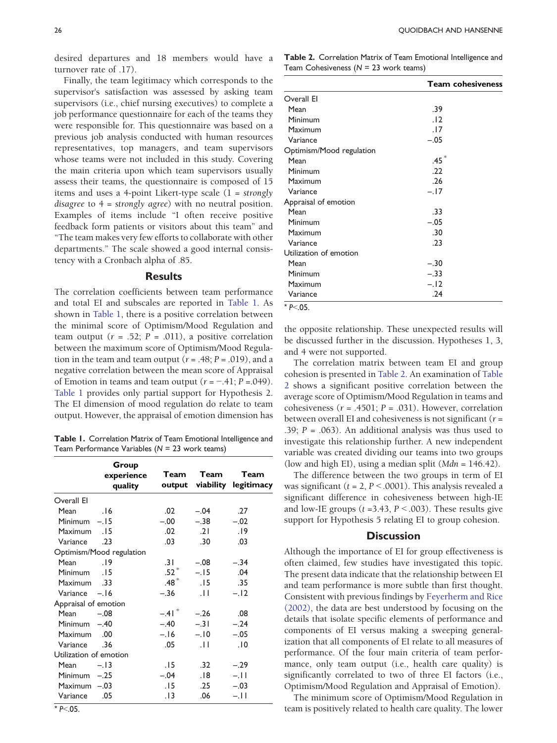desired departures and 18 members would have a turnover rate of .17).

Finally, the team legitimacy which corresponds to the supervisor's satisfaction was assessed by asking team supervisors (i.e., chief nursing executives) to complete a job performance questionnaire for each of the teams they were responsible for. This questionnaire was based on a previous job analysis conducted with human resources representatives, top managers, and team supervisors whose teams were not included in this study. Covering the main criteria upon which team supervisors usually assess their teams, the questionnaire is composed of 15 items and uses a 4-point Likert-type scale  $(1 = strongly$ disagree to 4 = strongly agree) with no neutral position. Examples of items include "I often receive positive feedback form patients or visitors about this team" and "The team makes very few efforts to collaborate with other departments." The scale showed a good internal consistency with a Cronbach alpha of .85.

#### Results

The correlation coefficients between team performance and total EI and subscales are reported in Table 1. As shown in Table 1, there is a positive correlation between the minimal score of Optimism/Mood Regulation and team output ( $r = .52$ ;  $P = .011$ ), a positive correlation between the maximum score of Optimism/Mood Regulation in the team and team output  $(r = .48; P = .019)$ , and a negative correlation between the mean score of Appraisal of Emotion in teams and team output  $(r = -.41; P = .049)$ . Table 1 provides only partial support for Hypothesis 2. The EI dimension of mood regulation do relate to team output. However, the appraisal of emotion dimension has

Table 1. Correlation Matrix of Team Emotional Intelligence and Team Performance Variables ( $N = 23$  work teams)

|                        | Group<br>experience<br>quality | Team                | Team            | Team<br>output viability legitimacy |
|------------------------|--------------------------------|---------------------|-----------------|-------------------------------------|
| Overall El             |                                |                     |                 |                                     |
| Mean                   | .16                            | .02                 | $-.04$          | .27                                 |
| Minimum $-.15$         |                                | $-.00$              | $-.38$          | $-.02$                              |
| Maximum                | .15                            | .02                 | .21             | .19                                 |
| Variance               | .23                            | .03                 | .30             | .03                                 |
|                        | Optimism/Mood regulation       |                     |                 |                                     |
| Mean                   | 9                              | .31                 | $-.08$          | $-.34$                              |
| Minimum                | .15                            | $.52\,^\ast$        | $-.15$          | .04                                 |
| 33. Maximum            |                                | $.48*$              | .15             | .35                                 |
| Variance -. 16         |                                | $-.36$              | $\overline{11}$ | $-.12$                              |
| Appraisal of emotion   |                                |                     |                 |                                     |
| Mean                   | $-.08$                         | $-.41$ <sup>*</sup> | $-.26$          | .08                                 |
| Minimum $-.40$         |                                | $-.40$              | $-.31$          | $-.24$                              |
| <b>Maximum</b>         | .00                            | $-.16$              | $-.10$          | $-.05$                              |
| Variance               | .36                            | .05                 | .11             | .10                                 |
| Utilization of emotion |                                |                     |                 |                                     |
| Mean                   | $-.13$                         | .15                 | .32             | $-.29$                              |
| <b>Minimum</b>         | $-.25$                         | $-.04$              | . 81.           | $-.11$                              |
| Maximum $-.03$         |                                | .15                 | .25             | $-.03$                              |
| Variance               | .05                            | . I 3               | .06             | $-.11$                              |

Table 2. Correlation Matrix of Team Emotional Intelligence and Team Cohesiveness  $(N = 23$  work teams)

|                          | <b>Team cohesiveness</b> |
|--------------------------|--------------------------|
| Overall El               |                          |
| Mean                     | .39                      |
| Minimum                  | .12                      |
| Maximum                  | .17                      |
| Variance                 | $-.05$                   |
| Optimism/Mood regulation |                          |
| Mean                     | .45 $^\ast$              |
| Minimum                  | .22                      |
| Maximum                  | .26                      |
| Variance                 | $-.17$                   |
| Appraisal of emotion     |                          |
| Mean                     | .33                      |
| Minimum                  | $-.05$                   |
| Maximum                  | .30                      |
| Variance                 | .23                      |
| Utilization of emotion   |                          |
| Mean                     | $-.30$                   |
| Minimum                  | $-.33$                   |
| Maximum                  | $-.12$                   |
| Variance                 | .24                      |

 $*$  P $<$ .05.

the opposite relationship. These unexpected results will be discussed further in the discussion. Hypotheses 1, 3, and 4 were not supported.

The correlation matrix between team EI and group cohesion is presented in Table 2. An examination of Table 2 shows a significant positive correlation between the average score of Optimism/Mood Regulation in teams and cohesiveness ( $r = .4501$ ;  $P = .031$ ). However, correlation between overall EI and cohesiveness is not significant  $(r =$ .39;  $P = .063$ ). An additional analysis was thus used to investigate this relationship further. A new independent variable was created dividing our teams into two groups (low and high EI), using a median split  $(Mdn = 146.42)$ .

The difference between the two groups in term of EI was significant ( $t = 2$ ,  $P < .0001$ ). This analysis revealed a significant difference in cohesiveness between high-IE and low-IE groups ( $t = 3.43$ ,  $P < .003$ ). These results give support for Hypothesis 5 relating EI to group cohesion.

## **Discussion**

Although the importance of EI for group effectiveness is often claimed, few studies have investigated this topic. The present data indicate that the relationship between EI and team performance is more subtle than first thought. Consistent with previous findings by [Feyerherm and Rice](#page-5-0) [\(2002\)](#page-5-0), the data are best understood by focusing on the details that isolate specific elements of performance and components of EI versus making a sweeping generalization that all components of EI relate to all measures of performance. Of the four main criteria of team performance, only team output (i.e., health care quality) is significantly correlated to two of three EI factors (i.e., Optimism/Mood Regulation and Appraisal of Emotion).

The minimum score of Optimism/Mood Regulation in team is positively related to health care quality. The lower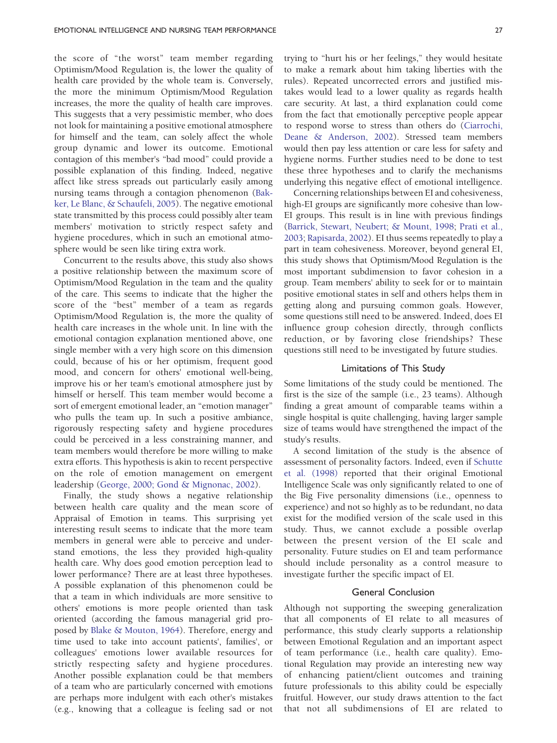the score of "the worst" team member regarding Optimism/Mood Regulation is, the lower the quality of health care provided by the whole team is. Conversely, the more the minimum Optimism/Mood Regulation increases, the more the quality of health care improves. This suggests that a very pessimistic member, who does not look for maintaining a positive emotional atmosphere for himself and the team, can solely affect the whole group dynamic and lower its outcome. Emotional contagion of this member's "bad mood" could provide a possible explanation of this finding. Indeed, negative affect like stress spreads out particularly easily among nursing teams through a contagion phenomenon ([Bak](#page-5-0)[ker, Le Blanc, & Schaufeli, 2005](#page-5-0)). The negative emotional state transmitted by this process could possibly alter team members' motivation to strictly respect safety and hygiene procedures, which in such an emotional atmosphere would be seen like tiring extra work.

Concurrent to the results above, this study also shows a positive relationship between the maximum score of Optimism/Mood Regulation in the team and the quality of the care. This seems to indicate that the higher the score of the "best" member of a team as regards Optimism/Mood Regulation is, the more the quality of health care increases in the whole unit. In line with the emotional contagion explanation mentioned above, one single member with a very high score on this dimension could, because of his or her optimism, frequent good mood, and concern for others' emotional well-being, improve his or her team's emotional atmosphere just by himself or herself. This team member would become a sort of emergent emotional leader, an "emotion manager" who pulls the team up. In such a positive ambiance, rigorously respecting safety and hygiene procedures could be perceived in a less constraining manner, and team members would therefore be more willing to make extra efforts. This hypothesis is akin to recent perspective on the role of emotion management on emergent leadership ([George, 2000; Gond & Mignonac, 2002\)](#page-5-0).

Finally, the study shows a negative relationship between health care quality and the mean score of Appraisal of Emotion in teams. This surprising yet interesting result seems to indicate that the more team members in general were able to perceive and understand emotions, the less they provided high-quality health care. Why does good emotion perception lead to lower performance? There are at least three hypotheses. A possible explanation of this phenomenon could be that a team in which individuals are more sensitive to others' emotions is more people oriented than task oriented (according the famous managerial grid proposed by [Blake & Mouton, 1964\)](#page-5-0). Therefore, energy and time used to take into account patients', families', or colleagues' emotions lower available resources for strictly respecting safety and hygiene procedures. Another possible explanation could be that members of a team who are particularly concerned with emotions are perhaps more indulgent with each other's mistakes (e.g., knowing that a colleague is feeling sad or not

trying to "hurt his or her feelings," they would hesitate to make a remark about him taking liberties with the rules). Repeated uncorrected errors and justified mistakes would lead to a lower quality as regards health care security. At last, a third explanation could come from the fact that emotionally perceptive people appear to respond worse to stress than others do ([Ciarrochi,](#page-5-0) [Deane & Anderson, 2002](#page-5-0)). Stressed team members would then pay less attention or care less for safety and hygiene norms. Further studies need to be done to test these three hypotheses and to clarify the mechanisms underlying this negative effect of emotional intelligence.

Concerning relationships between EI and cohesiveness, high-EI groups are significantly more cohesive than low-EI groups. This result is in line with previous findings ([Barrick, Stewart, Neubert; & Mount, 1998](#page-5-0); [Prati et al.,](#page-6-0) [2003](#page-6-0); [Rapisarda, 2002](#page-6-0)). EI thus seems repeatedly to play a part in team cohesiveness. Moreover, beyond general EI, this study shows that Optimism/Mood Regulation is the most important subdimension to favor cohesion in a group. Team members' ability to seek for or to maintain positive emotional states in self and others helps them in getting along and pursuing common goals. However, some questions still need to be answered. Indeed, does EI influence group cohesion directly, through conflicts reduction, or by favoring close friendships? These questions still need to be investigated by future studies.

#### Limitations of This Study

Some limitations of the study could be mentioned. The first is the size of the sample (i.e., 23 teams). Although finding a great amount of comparable teams within a single hospital is quite challenging, having larger sample size of teams would have strengthened the impact of the study's results.

A second limitation of the study is the absence of assessment of personality factors. Indeed, even if [Schutte](#page-6-0) [et al. \(1998\)](#page-6-0) reported that their original Emotional Intelligence Scale was only significantly related to one of the Big Five personality dimensions (i.e., openness to experience) and not so highly as to be redundant, no data exist for the modified version of the scale used in this study. Thus, we cannot exclude a possible overlap between the present version of the EI scale and personality. Future studies on EI and team performance should include personality as a control measure to investigate further the specific impact of EI.

#### General Conclusion

Although not supporting the sweeping generalization that all components of EI relate to all measures of performance, this study clearly supports a relationship between Emotional Regulation and an important aspect of team performance (i.e., health care quality). Emotional Regulation may provide an interesting new way of enhancing patient/client outcomes and training future professionals to this ability could be especially fruitful. However, our study draws attention to the fact that not all subdimensions of EI are related to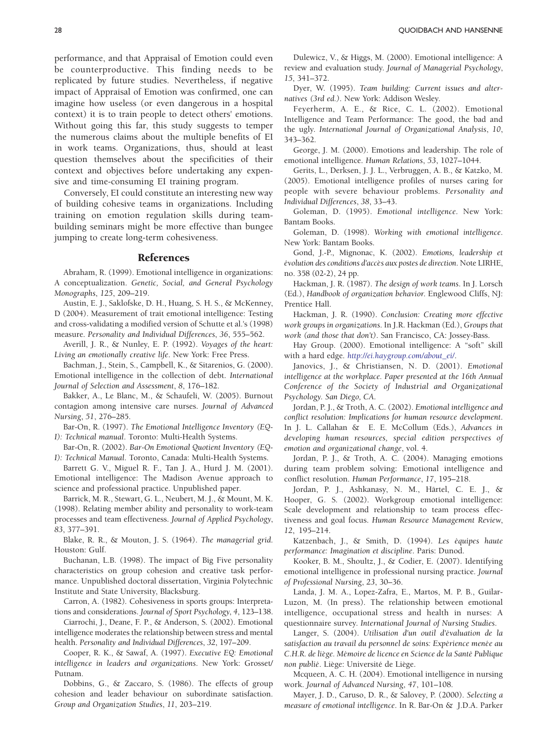<span id="page-5-0"></span>performance, and that Appraisal of Emotion could even be counterproductive. This finding needs to be replicated by future studies. Nevertheless, if negative impact of Appraisal of Emotion was confirmed, one can imagine how useless (or even dangerous in a hospital context) it is to train people to detect others' emotions. Without going this far, this study suggests to temper the numerous claims about the multiple benefits of EI in work teams. Organizations, thus, should at least question themselves about the specificities of their context and objectives before undertaking any expensive and time-consuming EI training program.

Conversely, EI could constitute an interesting new way of building cohesive teams in organizations. Including training on emotion regulation skills during teambuilding seminars might be more effective than bungee jumping to create long-term cohesiveness.

## References

Abraham, R. (1999). Emotional intelligence in organizations: A conceptualization. Genetic, Social, and General Psychology Monographs, 125, 209–219.

Austin, E. J., Saklofske, D. H., Huang, S. H. S., & McKenney, D (2004). Measurement of trait emotional intelligence: Testing and cross-validating a modified version of Schutte et al.'s (1998) measure. Personality and Individual Differences, 36, 555–562.

Averill, J. R., & Nunley, E. P. (1992). Voyages of the heart: Living an emotionally creative life. New York: Free Press.

Bachman, J., Stein, S., Campbell, K., & Sitarenios, G. (2000). Emotional intelligence in the collection of debt. International Journal of Selection and Assessment, 8, 176–182.

Bakker, A., Le Blanc, M., & Schaufeli, W. (2005). Burnout contagion among intensive care nurses. Journal of Advanced Nursing, 51, 276–285.

Bar-On, R. (1997). The Emotional Intelligence Inventory (EQ-I): Technical manual. Toronto: Multi-Health Systems.

Bar-On, R. (2002). Bar-On Emotional Quotient Inventory (EQ-I): Technical Manual. Toronto, Canada: Multi-Health Systems.

Barrett G. V., Miguel R. F., Tan J. A., Hurd J. M. (2001). Emotional intelligence: The Madison Avenue approach to science and professional practice. Unpublished paper.

Barrick, M. R., Stewart, G. L., Neubert, M. J., & Mount, M. K. (1998). Relating member ability and personality to work-team processes and team effectiveness. Journal of Applied Psychology, 83, 377–391.

Blake, R. R., & Mouton, J. S. (1964). The managerial grid. Houston: Gulf.

Buchanan, L.B. (1998). The impact of Big Five personality characteristics on group cohesion and creative task performance. Unpublished doctoral dissertation, Virginia Polytechnic Institute and State University, Blacksburg.

Carron, A. (1982). Cohesiveness in sports groups: Interpretations and considerations. Journal of Sport Psychology, 4, 123–138.

Ciarrochi, J., Deane, F. P., & Anderson, S. (2002). Emotional intelligence moderates the relationship between stress and mental health. Personality and Individual Differences, 32, 197–209.

Cooper, R. K., & Sawaf, A. (1997). Executive EQ: Emotional intelligence in leaders and organizations. New York: Grosset/ Putnam.

Dobbins, G., & Zaccaro, S. (1986). The effects of group cohesion and leader behaviour on subordinate satisfaction. Group and Organization Studies, 11, 203–219.

Dulewicz, V., & Higgs, M. (2000). Emotional intelligence: A review and evaluation study. Journal of Managerial Psychology, 15, 341–372.

Dyer, W. (1995). Team building: Current issues and alternatives (3rd ed.). New York: Addison Wesley.

Feyerherm, A. E., & Rice, C. L. (2002). Emotional Intelligence and Team Performance: The good, the bad and the ugly. International Journal of Organizational Analysis, 10, 343–362.

George, J. M. (2000). Emotions and leadership. The role of emotional intelligence. Human Relations, 53, 1027–1044.

Gerits, L., Derksen, J. J. L., Verbruggen, A. B., & Katzko, M. (2005). Emotional intelligence profiles of nurses caring for people with severe behaviour problems. Personality and Individual Differences, 38, 33–43.

Goleman, D. (1995). Emotional intelligence. New York: Bantam Books.

Goleman, D. (1998). Working with emotional intelligence. New York: Bantam Books.

Gond, J.-P., Mignonac, K. (2002). Emotions, leadership et évolution des conditions d'accès aux postes de direction. Note LIRHE, no. 358 (02-2), 24 pp.

Hackman, J. R. (1987). The design of work teams. In J. Lorsch (Ed.), Handbook of organization behavior. Englewood Cliffs, NJ: Prentice Hall.

Hackman, J. R. (1990). Conclusion: Creating more effective work groups in organizations. In J.R. Hackman (Ed.), Groups that work (and those that don't). San Francisco, CA: Jossey-Bass.

Hay Group. (2000). Emotional intelligence: A "soft" skill with a hard edge. [http://ei.haygroup.com/about\\_ei/](http://ei.haygroup.com/about_ei/).

Janovics, J., & Christiansen, N. D. (2001). Emotional intelligence at the workplace. Paper presented at the 16th Annual Conference of the Society of Industrial and Organizational Psychology. San Diego, CA.

Jordan, P. J., & Troth, A. C. (2002). Emotional intelligence and conflict resolution: Implications for human resource development. In J. L. Callahan & E. E. McCollum (Eds.), Advances in developing human resources, special edition perspectives of emotion and organizational change, vol. 4.

Jordan, P. J., & Troth, A. C. (2004). Managing emotions during team problem solving: Emotional intelligence and conflict resolution. Human Performance, 17, 195–218.

Jordan, P. J., Ashkanasy, N. M., Härtel, C. E. J., & Hooper, G. S. (2002). Workgroup emotional intelligence: Scale development and relationship to team process effectiveness and goal focus. Human Resource Management Review, 12, 195–214.

Katzenbach, J., & Smith, D. (1994). Les équipes haute performance: Imagination et discipline. Paris: Dunod.

Kooker, B. M., Shoultz, J., & Codier, E. (2007). Identifying emotional intelligence in professional nursing practice. Journal of Professional Nursing, 23, 30–36.

Landa, J. M. A., Lopez-Zafra, E., Martos, M. P. B., Guilar-Luzon, M. (In press). The relationship between emotional intelligence, occupational stress and health in nurses: A questionnaire survey. International Journal of Nursing Studies.

Langer, S. (2004). Utilisation d'un outil d'évaluation de la satisfaction au travail du personnel de soins: Expérience menée au C.H.R. de liège. Mémoire de licence en Science de la Santé Publique non publié. Liège: Université de Liège.

Mcqueen, A. C. H. (2004). Emotional intelligence in nursing work. Journal of Advanced Nursing, 47, 101–108.

Mayer, J. D., Caruso, D. R., & Salovey, P. (2000). Selecting a measure of emotional intelligence. In R. Bar-On & J.D.A. Parker